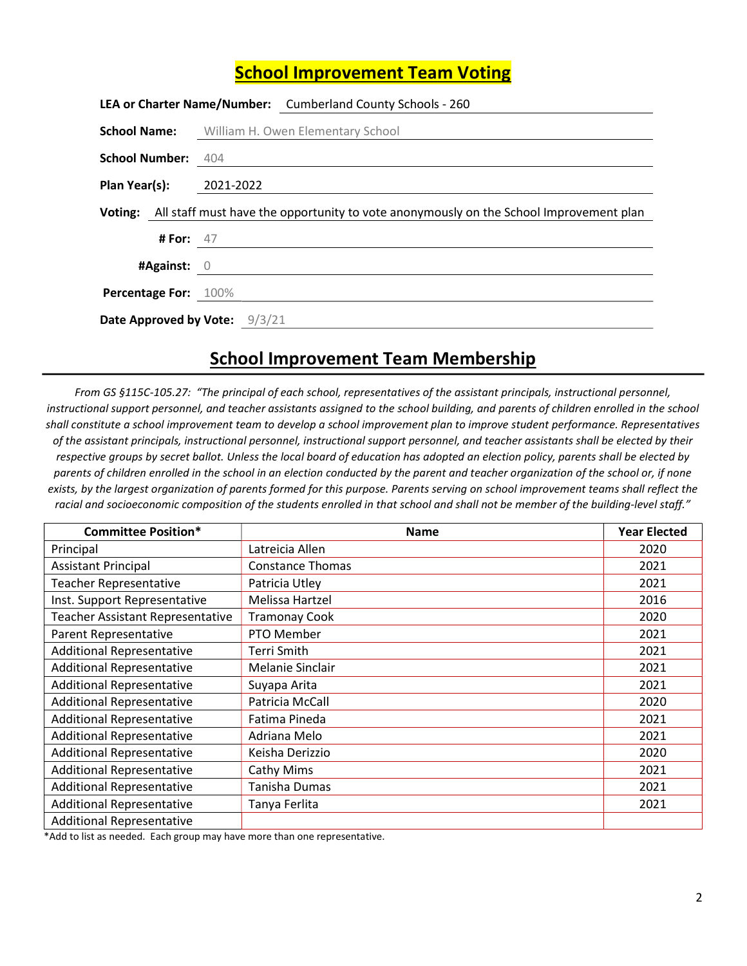## School Improvement Team Voting

|                               |                    | LEA or Charter Name/Number: Cumberland County Schools - 260                                    |  |  |
|-------------------------------|--------------------|------------------------------------------------------------------------------------------------|--|--|
|                               |                    | <b>School Name:</b> William H. Owen Elementary School                                          |  |  |
| School Number: 404            |                    |                                                                                                |  |  |
| Plan Year(s): 2021-2022       |                    |                                                                                                |  |  |
|                               |                    | Voting: All staff must have the opportunity to vote anonymously on the School Improvement plan |  |  |
|                               | <b># For:</b> $47$ |                                                                                                |  |  |
| #Against: $0$                 |                    |                                                                                                |  |  |
| Percentage For: 100%          |                    |                                                                                                |  |  |
| Date Approved by Vote: 9/3/21 |                    |                                                                                                |  |  |

## School Improvement Team Membership

From GS §115C-105.27: "The principal of each school, representatives of the assistant principals, instructional personnel, instructional support personnel, and teacher assistants assigned to the school building, and parents of children enrolled in the school shall constitute a school improvement team to develop a school improvement plan to improve student performance. Representatives of the assistant principals, instructional personnel, instructional support personnel, and teacher assistants shall be elected by their respective groups by secret ballot. Unless the local board of education has adopted an election policy, parents shall be elected by parents of children enrolled in the school in an election conducted by the parent and teacher organization of the school or, if none exists, by the largest organization of parents formed for this purpose. Parents serving on school improvement teams shall reflect the racial and socioeconomic composition of the students enrolled in that school and shall not be member of the building-level staff."

| <b>Committee Position*</b>              | <b>Name</b>             | <b>Year Elected</b> |
|-----------------------------------------|-------------------------|---------------------|
| Principal                               | Latreicia Allen         | 2020                |
| <b>Assistant Principal</b>              | <b>Constance Thomas</b> | 2021                |
| <b>Teacher Representative</b>           | Patricia Utley          | 2021                |
| Inst. Support Representative            | Melissa Hartzel         | 2016                |
| <b>Teacher Assistant Representative</b> | <b>Tramonay Cook</b>    | 2020                |
| Parent Representative                   | PTO Member              | 2021                |
| <b>Additional Representative</b>        | Terri Smith             | 2021                |
| <b>Additional Representative</b>        | Melanie Sinclair        | 2021                |
| <b>Additional Representative</b>        | Suyapa Arita            | 2021                |
| <b>Additional Representative</b>        | Patricia McCall         | 2020                |
| <b>Additional Representative</b>        | Fatima Pineda           | 2021                |
| <b>Additional Representative</b>        | Adriana Melo            | 2021                |
| <b>Additional Representative</b>        | Keisha Derizzio         | 2020                |
| <b>Additional Representative</b>        | Cathy Mims              | 2021                |
| <b>Additional Representative</b>        | Tanisha Dumas           | 2021                |
| <b>Additional Representative</b>        | Tanya Ferlita           | 2021                |
| <b>Additional Representative</b>        |                         |                     |

\*Add to list as needed. Each group may have more than one representative.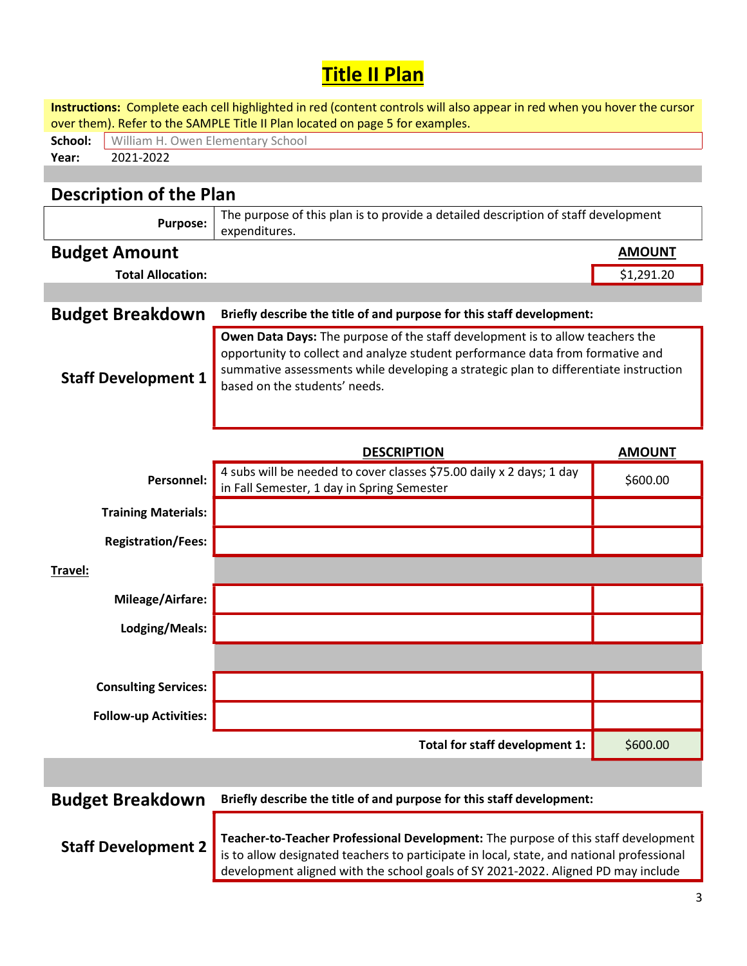## **Title II Plan**

| Instructions: Complete each cell highlighted in red (content controls will also appear in red when you hover the cursor |                                                                                                                    |                                                                                                                       |               |  |  |  |  |  |
|-------------------------------------------------------------------------------------------------------------------------|--------------------------------------------------------------------------------------------------------------------|-----------------------------------------------------------------------------------------------------------------------|---------------|--|--|--|--|--|
| School:                                                                                                                 | over them). Refer to the SAMPLE Title II Plan located on page 5 for examples.<br>William H. Owen Elementary School |                                                                                                                       |               |  |  |  |  |  |
| Year:                                                                                                                   | 2021-2022                                                                                                          |                                                                                                                       |               |  |  |  |  |  |
|                                                                                                                         |                                                                                                                    |                                                                                                                       |               |  |  |  |  |  |
|                                                                                                                         | <b>Description of the Plan</b>                                                                                     |                                                                                                                       |               |  |  |  |  |  |
|                                                                                                                         |                                                                                                                    | The purpose of this plan is to provide a detailed description of staff development                                    |               |  |  |  |  |  |
|                                                                                                                         | <b>Purpose:</b>                                                                                                    | expenditures.                                                                                                         |               |  |  |  |  |  |
|                                                                                                                         | <b>Budget Amount</b>                                                                                               |                                                                                                                       | <b>AMOUNT</b> |  |  |  |  |  |
|                                                                                                                         | <b>Total Allocation:</b>                                                                                           |                                                                                                                       | \$1,291.20    |  |  |  |  |  |
|                                                                                                                         |                                                                                                                    |                                                                                                                       |               |  |  |  |  |  |
|                                                                                                                         | <b>Budget Breakdown</b>                                                                                            | Briefly describe the title of and purpose for this staff development:                                                 |               |  |  |  |  |  |
|                                                                                                                         |                                                                                                                    | Owen Data Days: The purpose of the staff development is to allow teachers the                                         |               |  |  |  |  |  |
|                                                                                                                         |                                                                                                                    | opportunity to collect and analyze student performance data from formative and                                        |               |  |  |  |  |  |
|                                                                                                                         | <b>Staff Development 1</b>                                                                                         | summative assessments while developing a strategic plan to differentiate instruction<br>based on the students' needs. |               |  |  |  |  |  |
|                                                                                                                         |                                                                                                                    |                                                                                                                       |               |  |  |  |  |  |
|                                                                                                                         |                                                                                                                    |                                                                                                                       |               |  |  |  |  |  |
|                                                                                                                         |                                                                                                                    |                                                                                                                       |               |  |  |  |  |  |
|                                                                                                                         |                                                                                                                    | <b>DESCRIPTION</b>                                                                                                    | <b>AMOUNT</b> |  |  |  |  |  |
|                                                                                                                         |                                                                                                                    |                                                                                                                       |               |  |  |  |  |  |
|                                                                                                                         | Personnel:                                                                                                         | 4 subs will be needed to cover classes \$75.00 daily x 2 days; 1 day                                                  | \$600.00      |  |  |  |  |  |
|                                                                                                                         |                                                                                                                    | in Fall Semester, 1 day in Spring Semester                                                                            |               |  |  |  |  |  |
|                                                                                                                         | <b>Training Materials:</b>                                                                                         |                                                                                                                       |               |  |  |  |  |  |
|                                                                                                                         | <b>Registration/Fees:</b>                                                                                          |                                                                                                                       |               |  |  |  |  |  |
|                                                                                                                         |                                                                                                                    |                                                                                                                       |               |  |  |  |  |  |
| Travel:                                                                                                                 |                                                                                                                    |                                                                                                                       |               |  |  |  |  |  |
|                                                                                                                         | Mileage/Airfare:                                                                                                   |                                                                                                                       |               |  |  |  |  |  |
|                                                                                                                         |                                                                                                                    |                                                                                                                       |               |  |  |  |  |  |
|                                                                                                                         | Lodging/Meals:                                                                                                     |                                                                                                                       |               |  |  |  |  |  |
|                                                                                                                         |                                                                                                                    |                                                                                                                       |               |  |  |  |  |  |
|                                                                                                                         | <b>Consulting Services:</b>                                                                                        |                                                                                                                       |               |  |  |  |  |  |
|                                                                                                                         |                                                                                                                    |                                                                                                                       |               |  |  |  |  |  |
|                                                                                                                         | <b>Follow-up Activities:</b>                                                                                       |                                                                                                                       |               |  |  |  |  |  |
|                                                                                                                         |                                                                                                                    | Total for staff development 1:                                                                                        | \$600.00      |  |  |  |  |  |
|                                                                                                                         |                                                                                                                    |                                                                                                                       |               |  |  |  |  |  |
|                                                                                                                         |                                                                                                                    |                                                                                                                       |               |  |  |  |  |  |
|                                                                                                                         | <b>Budget Breakdown</b>                                                                                            | Briefly describe the title of and purpose for this staff development:                                                 |               |  |  |  |  |  |

**Staff Development 2** Teacher-to-Teacher Professional Development: The purpose of this staff development is to allow designated teachers to participate in local, state, and national professional development aligned with the school goals of SY 2021-2022. Aligned PD may include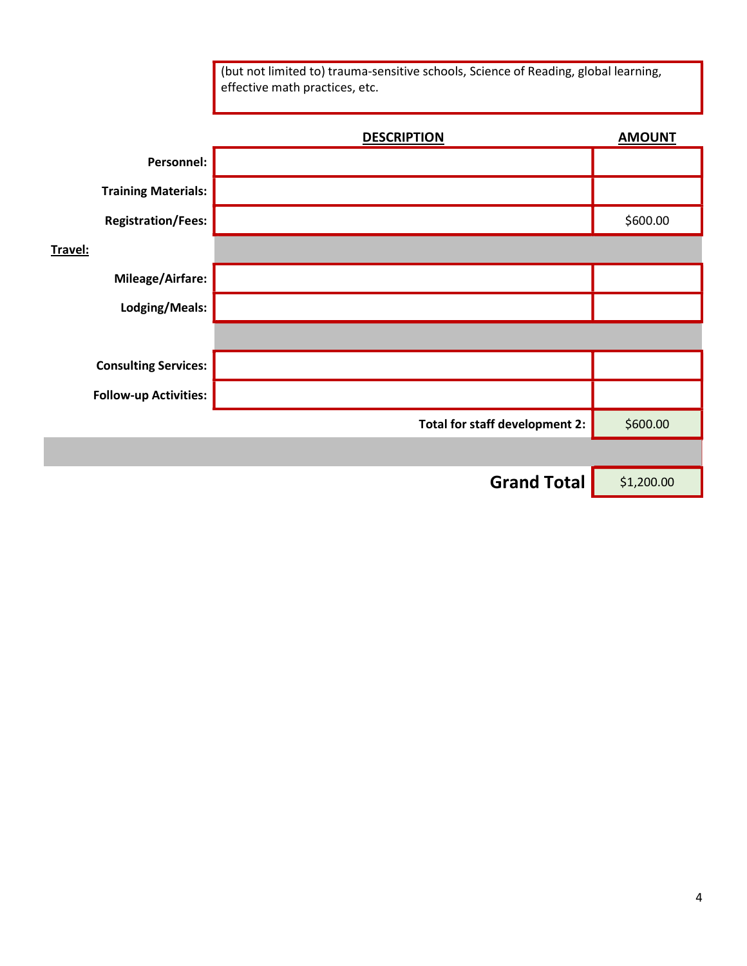effective math practices, etc. DESCRIPTION AMOUNT Personnel: Training Materials: Registration/Fees: 800.000 and 5600.000 and 5600.000 and 5600.000 and 5600.000 and 5600.000 and 5600.000 and 5600.00 Travel: Mileage/Airfare: Lodging/Meals: Consulting Services: Follow-up Activities: Total for staff development 2:  $\Big|$  \$600.00 Grand Total  $\left| \right|$  \$1,200.00

(but not limited to) trauma-sensitive schools, Science of Reading, global learning,